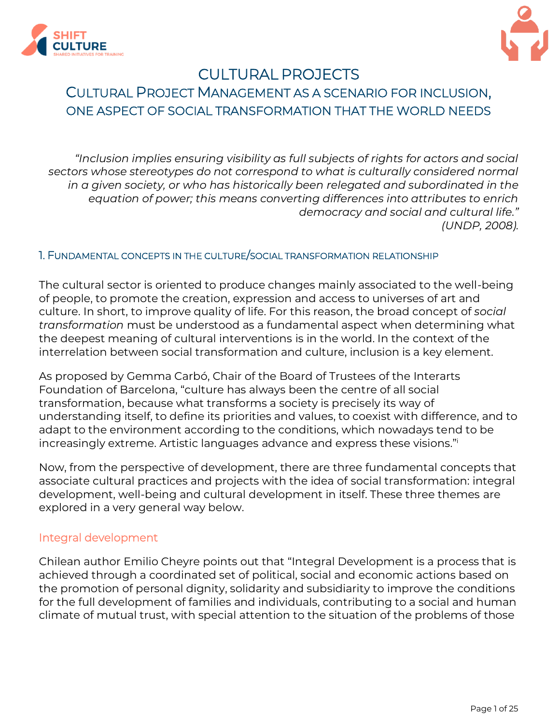



# CULTURAL PROJECTS CULTURAL PROJECT MANAGEMENT AS A SCENARIO FOR INCLUSION, ONE ASPECT OF SOCIAL TRANSFORMATION THAT THE WORLD NEEDS

*"Inclusion implies ensuring visibility as full subjects of rights for actors and social sectors whose stereotypes do not correspond to what is culturally considered normal in a given society, or who has historically been relegated and subordinated in the equation of power; this means converting differences into attributes to enrich democracy and social and cultural life." (UNDP, 2008).*

#### 1. FUNDAMENTAL CONCEPTS IN THE CULTURE/SOCIAL TRANSFORMATION RELATIONSHIP

The cultural sector is oriented to produce changes mainly associated to the well-being of people, to promote the creation, expression and access to universes of art and culture. In short, to improve quality of life. For this reason, the broad concept of *social transformation* must be understood as a fundamental aspect when determining what the deepest meaning of cultural interventions is in the world. In the context of the interrelation between social transformation and culture, inclusion is a key element.

As proposed by Gemma Carbó, Chair of the Board of Trustees of the Interarts Foundation of Barcelona, "culture has always been the centre of all social transformation, because what transforms a society is precisely its way of understanding itself, to define its priorities and values, to coexist with difference, and to adapt to the environment according to the conditions, which nowadays tend to be increasingly extreme. Artistic languages advance and express these visions." i

Now, from the perspective of development, there are three fundamental concepts that associate cultural practices and projects with the idea of social transformation: integral development, well-being and cultural development in itself. These three themes are explored in a very general way below.

### Integral development

Chilean author Emilio Cheyre points out that "Integral Development is a process that is achieved through a coordinated set of political, social and economic actions based on the promotion of personal dignity, solidarity and subsidiarity to improve the conditions for the full development of families and individuals, contributing to a social and human climate of mutual trust, with special attention to the situation of the problems of those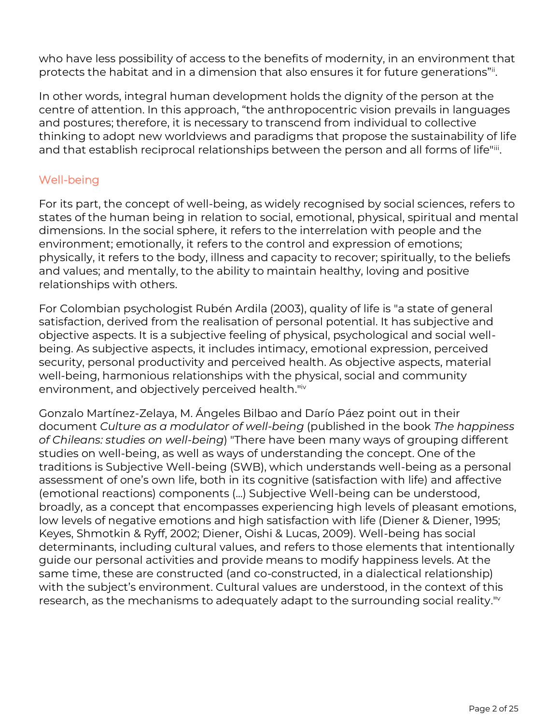who have less possibility of access to the benefits of modernity, in an environment that protects the habitat and in a dimension that also ensures it for future generations"ii .

In other words, integral human development holds the dignity of the person at the centre of attention. In this approach, "the anthropocentric vision prevails in languages and postures; therefore, it is necessary to transcend from individual to collective thinking to adopt new worldviews and paradigms that propose the sustainability of life and that establish reciprocal relationships between the person and all forms of life"iii .

### Well-being

For its part, the concept of well-being, as widely recognised by social sciences, refers to states of the human being in relation to social, emotional, physical, spiritual and mental dimensions. In the social sphere, it refers to the interrelation with people and the environment; emotionally, it refers to the control and expression of emotions; physically, it refers to the body, illness and capacity to recover; spiritually, to the beliefs and values; and mentally, to the ability to maintain healthy, loving and positive relationships with others.

For Colombian psychologist Rubén Ardila (2003), quality of life is "a state of general satisfaction, derived from the realisation of personal potential. It has subjective and objective aspects. It is a subjective feeling of physical, psychological and social wellbeing. As subjective aspects, it includes intimacy, emotional expression, perceived security, personal productivity and perceived health. As objective aspects, material well-being, harmonious relationships with the physical, social and community environment, and objectively perceived health." iv

Gonzalo Martínez-Zelaya, M. Ángeles Bilbao and Darío Páez point out in their document *Culture as a modulator of well-being* (published in the book *The happiness of Chileans: studies on well-being*) "There have been many ways of grouping different studies on well-being, as well as ways of understanding the concept. One of the traditions is Subjective Well-being (SWB), which understands well-being as a personal assessment of one's own life, both in its cognitive (satisfaction with life) and affective (emotional reactions) components (...) Subjective Well-being can be understood, broadly, as a concept that encompasses experiencing high levels of pleasant emotions, low levels of negative emotions and high satisfaction with life (Diener & Diener, 1995; Keyes, Shmotkin & Ryff, 2002; Diener, Oishi & Lucas, 2009). Well-being has social determinants, including cultural values, and refers to those elements that intentionally guide our personal activities and provide means to modify happiness levels. At the same time, these are constructed (and co-constructed, in a dialectical relationship) with the subject's environment. Cultural values are understood, in the context of this research, as the mechanisms to adequately adapt to the surrounding social reality." v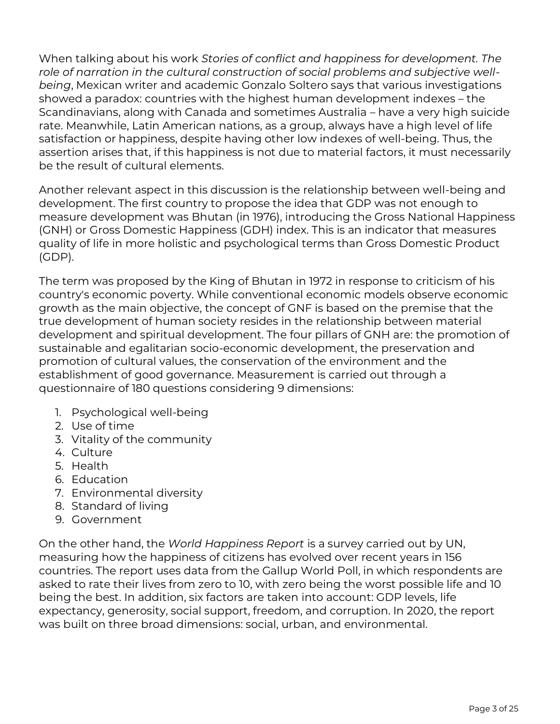When talking about his work *Stories of conflict and happiness for development. The role of narration in the cultural construction of social problems and subjective wellbeing*, Mexican writer and academic Gonzalo Soltero says that various investigations showed a paradox: countries with the highest human development indexes – the Scandinavians, along with Canada and sometimes Australia – have a very high suicide rate. Meanwhile, Latin American nations, as a group, always have a high level of life satisfaction or happiness, despite having other low indexes of well-being. Thus, the assertion arises that, if this happiness is not due to material factors, it must necessarily be the result of cultural elements.

Another relevant aspect in this discussion is the relationship between well-being and development. The first country to propose the idea that GDP was not enough to measure development was Bhutan (in 1976), introducing the Gross National Happiness (GNH) or Gross Domestic Happiness (GDH) index. This is an indicator that measures quality of life in more holistic and psychological terms than Gross Domestic Product (GDP).

The term was proposed by the King of Bhutan in 1972 in response to criticism of his country's economic poverty. While conventional economic models observe economic growth as the main objective, the concept of GNF is based on the premise that the true development of human society resides in the relationship between material development and spiritual development. The four pillars of GNH are: the promotion of sustainable and egalitarian socio-economic development, the preservation and promotion of cultural values, the conservation of the environment and the establishment of good governance. Measurement is carried out through a questionnaire of 180 questions considering 9 dimensions:

- 1. Psychological well-being
- 2. Use of time
- 3. Vitality of the community
- 4. Culture
- 5. Health
- 6. Education
- 7. Environmental diversity
- 8. Standard of living
- 9. Government

On the other hand, the *World Happiness Report* is a survey carried out by UN, measuring how the happiness of citizens has evolved over recent years in 156 countries. The report uses data from the Gallup World Poll, in which respondents are asked to rate their lives from zero to 10, with zero being the worst possible life and 10 being the best. In addition, six factors are taken into account: GDP levels, life expectancy, generosity, social support, freedom, and corruption. In 2020, the report was built on three broad dimensions: social, urban, and environmental.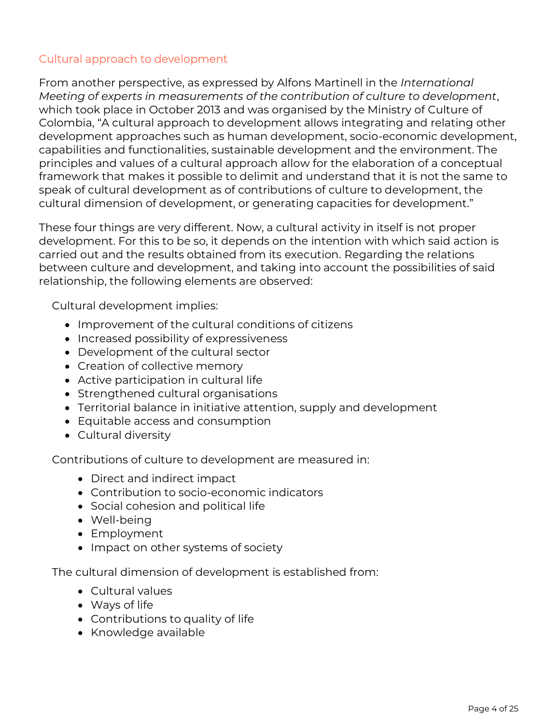### Cultural approach to development

From another perspective, as expressed by Alfons Martinell in the *International Meeting of experts in measurements of the contribution of culture to development*, which took place in October 2013 and was organised by the Ministry of Culture of Colombia, "A cultural approach to development allows integrating and relating other development approaches such as human development, socio-economic development, capabilities and functionalities, sustainable development and the environment. The principles and values of a cultural approach allow for the elaboration of a conceptual framework that makes it possible to delimit and understand that it is not the same to speak of cultural development as of contributions of culture to development, the cultural dimension of development, or generating capacities for development."

These four things are very different. Now, a cultural activity in itself is not proper development. For this to be so, it depends on the intention with which said action is carried out and the results obtained from its execution. Regarding the relations between culture and development, and taking into account the possibilities of said relationship, the following elements are observed:

Cultural development implies:

- Improvement of the cultural conditions of citizens
- Increased possibility of expressiveness
- Development of the cultural sector
- Creation of collective memory
- Active participation in cultural life
- Strengthened cultural organisations
- Territorial balance in initiative attention, supply and development
- Equitable access and consumption
- Cultural diversity

Contributions of culture to development are measured in:

- Direct and indirect impact
- Contribution to socio-economic indicators
- Social cohesion and political life
- Well-being
- Employment
- Impact on other systems of society

The cultural dimension of development is established from:

- Cultural values
- Ways of life
- Contributions to quality of life
- Knowledge available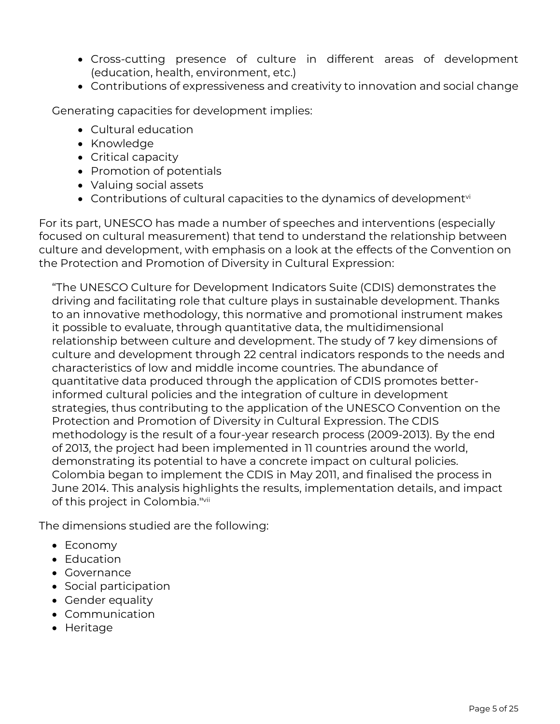- Cross-cutting presence of culture in different areas of development (education, health, environment, etc.)
- Contributions of expressiveness and creativity to innovation and social change

Generating capacities for development implies:

- Cultural education
- Knowledge
- Critical capacity
- Promotion of potentials
- Valuing social assets
- Contributions of cultural capacities to the dynamics of development $v_i$

For its part, UNESCO has made a number of speeches and interventions (especially focused on cultural measurement) that tend to understand the relationship between culture and development, with emphasis on a look at the effects of the Convention on the Protection and Promotion of Diversity in Cultural Expression:

"The UNESCO Culture for Development Indicators Suite (CDIS) demonstrates the driving and facilitating role that culture plays in sustainable development. Thanks to an innovative methodology, this normative and promotional instrument makes it possible to evaluate, through quantitative data, the multidimensional relationship between culture and development. The study of 7 key dimensions of culture and development through 22 central indicators responds to the needs and characteristics of low and middle income countries. The abundance of quantitative data produced through the application of CDIS promotes betterinformed cultural policies and the integration of culture in development strategies, thus contributing to the application of the UNESCO Convention on the Protection and Promotion of Diversity in Cultural Expression. The CDIS methodology is the result of a four-year research process (2009-2013). By the end of 2013, the project had been implemented in 11 countries around the world, demonstrating its potential to have a concrete impact on cultural policies. Colombia began to implement the CDIS in May 2011, and finalised the process in June 2014. This analysis highlights the results, implementation details, and impact of this project in Colombia." vii

The dimensions studied are the following:

- Economy
- Education
- Governance
- Social participation
- Gender equality
- Communication
- Heritage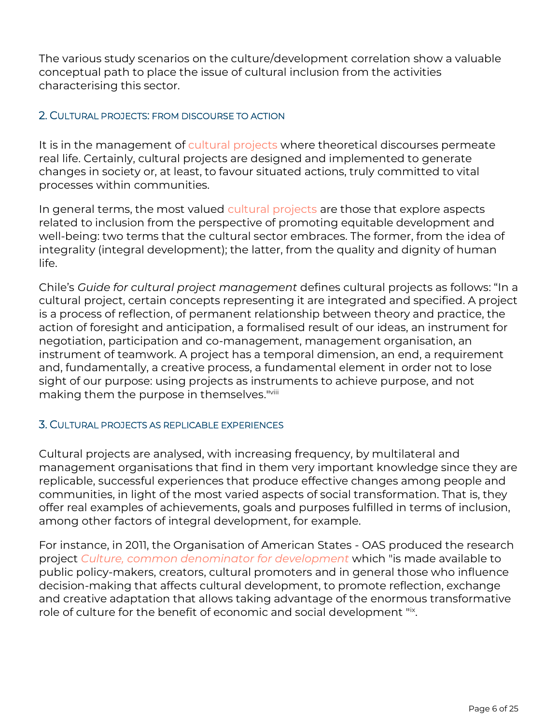The various study scenarios on the culture/development correlation show a valuable conceptual path to place the issue of cultural inclusion from the activities characterising this sector.

### 2. CULTURAL PROJECTS: FROM DISCOURSE TO ACTION

It is in the management of cultural projects where theoretical discourses permeate real life. Certainly, cultural projects are designed and implemented to generate changes in society or, at least, to favour situated actions, truly committed to vital processes within communities.

In general terms, the most valued cultural projects are those that explore aspects related to inclusion from the perspective of promoting equitable development and well-being: two terms that the cultural sector embraces. The former, from the idea of integrality (integral development); the latter, from the quality and dignity of human life.

Chile's *Guide for cultural project management* defines cultural projects as follows: "In a cultural project, certain concepts representing it are integrated and specified. A project is a process of reflection, of permanent relationship between theory and practice, the action of foresight and anticipation, a formalised result of our ideas, an instrument for negotiation, participation and co-management, management organisation, an instrument of teamwork. A project has a temporal dimension, an end, a requirement and, fundamentally, a creative process, a fundamental element in order not to lose sight of our purpose: using projects as instruments to achieve purpose, and not making them the purpose in themselves." viii

#### 3. CULTURAL PROJECTS AS REPLICABLE EXPERIENCES

Cultural projects are analysed, with increasing frequency, by multilateral and management organisations that find in them very important knowledge since they are replicable, successful experiences that produce effective changes among people and communities, in light of the most varied aspects of social transformation. That is, they offer real examples of achievements, goals and purposes fulfilled in terms of inclusion, among other factors of integral development, for example.

For instance, in 2011, the Organisation of American States - OAS produced the research project *Culture, common denominator for development* which "is made available to public policy-makers, creators, cultural promoters and in general those who influence decision-making that affects cultural development, to promote reflection, exchange and creative adaptation that allows taking advantage of the enormous transformative role of culture for the benefit of economic and social development "ix .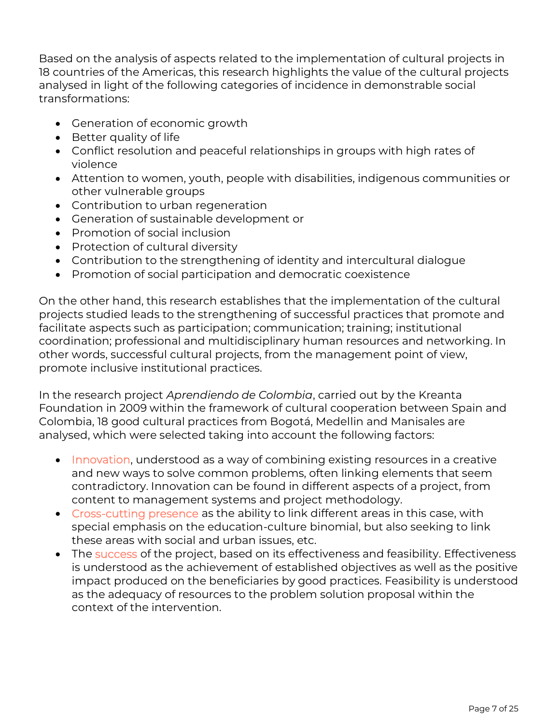Based on the analysis of aspects related to the implementation of cultural projects in 18 countries of the Americas, this research highlights the value of the cultural projects analysed in light of the following categories of incidence in demonstrable social transformations:

- Generation of economic growth
- Better quality of life
- Conflict resolution and peaceful relationships in groups with high rates of violence
- Attention to women, youth, people with disabilities, indigenous communities or other vulnerable groups
- Contribution to urban regeneration
- Generation of sustainable development or
- Promotion of social inclusion
- Protection of cultural diversity
- Contribution to the strengthening of identity and intercultural dialogue
- Promotion of social participation and democratic coexistence

On the other hand, this research establishes that the implementation of the cultural projects studied leads to the strengthening of successful practices that promote and facilitate aspects such as participation; communication; training; institutional coordination; professional and multidisciplinary human resources and networking. In other words, successful cultural projects, from the management point of view, promote inclusive institutional practices.

In the research project *Aprendiendo de Colombia*, carried out by the Kreanta Foundation in 2009 within the framework of cultural cooperation between Spain and Colombia, 18 good cultural practices from Bogotá, Medellin and Manisales are analysed, which were selected taking into account the following factors:

- Innovation, understood as a way of combining existing resources in a creative and new ways to solve common problems, often linking elements that seem contradictory. Innovation can be found in different aspects of a project, from content to management systems and project methodology.
- Cross-cutting presence as the ability to link different areas in this case, with special emphasis on the education-culture binomial, but also seeking to link these areas with social and urban issues, etc.
- The success of the project, based on its effectiveness and feasibility. Effectiveness is understood as the achievement of established objectives as well as the positive impact produced on the beneficiaries by good practices. Feasibility is understood as the adequacy of resources to the problem solution proposal within the context of the intervention.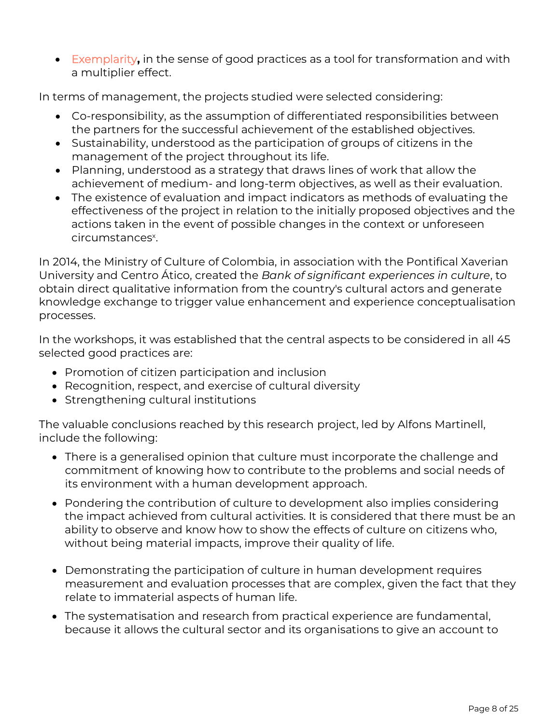• Exemplarity**,** in the sense of good practices as a tool for transformation and with a multiplier effect.

In terms of management, the projects studied were selected considering:

- Co-responsibility, as the assumption of differentiated responsibilities between the partners for the successful achievement of the established objectives.
- Sustainability, understood as the participation of groups of citizens in the management of the project throughout its life.
- Planning, understood as a strategy that draws lines of work that allow the achievement of medium- and long-term objectives, as well as their evaluation.
- The existence of evaluation and impact indicators as methods of evaluating the effectiveness of the project in relation to the initially proposed objectives and the actions taken in the event of possible changes in the context or unforeseen circumstances<sup>x</sup>.

In 2014, the Ministry of Culture of Colombia, in association with the Pontifical Xaverian University and Centro Ático, created the *Bank of significant experiences in culture*, to obtain direct qualitative information from the country's cultural actors and generate knowledge exchange to trigger value enhancement and experience conceptualisation processes.

In the workshops, it was established that the central aspects to be considered in all 45 selected good practices are:

- Promotion of citizen participation and inclusion
- Recognition, respect, and exercise of cultural diversity
- Strengthening cultural institutions

The valuable conclusions reached by this research project, led by Alfons Martinell, include the following:

- There is a generalised opinion that culture must incorporate the challenge and commitment of knowing how to contribute to the problems and social needs of its environment with a human development approach.
- Pondering the contribution of culture to development also implies considering the impact achieved from cultural activities. It is considered that there must be an ability to observe and know how to show the effects of culture on citizens who, without being material impacts, improve their quality of life.
- Demonstrating the participation of culture in human development requires measurement and evaluation processes that are complex, given the fact that they relate to immaterial aspects of human life.
- The systematisation and research from practical experience are fundamental, because it allows the cultural sector and its organisations to give an account to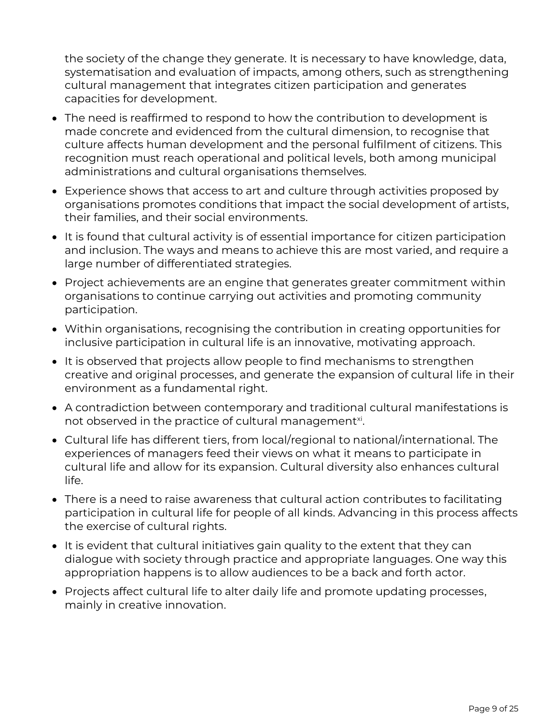the society of the change they generate. It is necessary to have knowledge, data, systematisation and evaluation of impacts, among others, such as strengthening cultural management that integrates citizen participation and generates capacities for development.

- The need is reaffirmed to respond to how the contribution to development is made concrete and evidenced from the cultural dimension, to recognise that culture affects human development and the personal fulfilment of citizens. This recognition must reach operational and political levels, both among municipal administrations and cultural organisations themselves.
- Experience shows that access to art and culture through activities proposed by organisations promotes conditions that impact the social development of artists, their families, and their social environments.
- It is found that cultural activity is of essential importance for citizen participation and inclusion. The ways and means to achieve this are most varied, and require a large number of differentiated strategies.
- Project achievements are an engine that generates greater commitment within organisations to continue carrying out activities and promoting community participation.
- Within organisations, recognising the contribution in creating opportunities for inclusive participation in cultural life is an innovative, motivating approach.
- It is observed that projects allow people to find mechanisms to strengthen creative and original processes, and generate the expansion of cultural life in their environment as a fundamental right.
- A contradiction between contemporary and traditional cultural manifestations is not observed in the practice of cultural management $x$ i.
- Cultural life has different tiers, from local/regional to national/international. The experiences of managers feed their views on what it means to participate in cultural life and allow for its expansion. Cultural diversity also enhances cultural life.
- There is a need to raise awareness that cultural action contributes to facilitating participation in cultural life for people of all kinds. Advancing in this process affects the exercise of cultural rights.
- It is evident that cultural initiatives gain quality to the extent that they can dialogue with society through practice and appropriate languages. One way this appropriation happens is to allow audiences to be a back and forth actor.
- Projects affect cultural life to alter daily life and promote updating processes, mainly in creative innovation.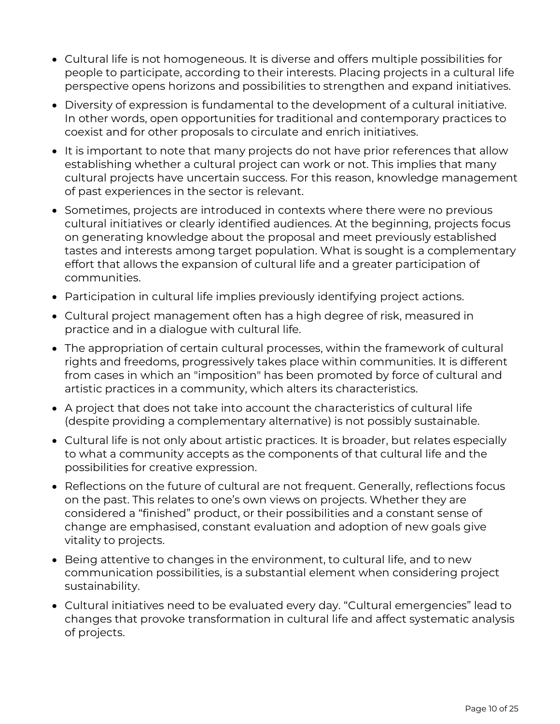- Cultural life is not homogeneous. It is diverse and offers multiple possibilities for people to participate, according to their interests. Placing projects in a cultural life perspective opens horizons and possibilities to strengthen and expand initiatives.
- Diversity of expression is fundamental to the development of a cultural initiative. In other words, open opportunities for traditional and contemporary practices to coexist and for other proposals to circulate and enrich initiatives.
- It is important to note that many projects do not have prior references that allow establishing whether a cultural project can work or not. This implies that many cultural projects have uncertain success. For this reason, knowledge management of past experiences in the sector is relevant.
- Sometimes, projects are introduced in contexts where there were no previous cultural initiatives or clearly identified audiences. At the beginning, projects focus on generating knowledge about the proposal and meet previously established tastes and interests among target population. What is sought is a complementary effort that allows the expansion of cultural life and a greater participation of communities.
- Participation in cultural life implies previously identifying project actions.
- Cultural project management often has a high degree of risk, measured in practice and in a dialogue with cultural life.
- The appropriation of certain cultural processes, within the framework of cultural rights and freedoms, progressively takes place within communities. It is different from cases in which an "imposition" has been promoted by force of cultural and artistic practices in a community, which alters its characteristics.
- A project that does not take into account the characteristics of cultural life (despite providing a complementary alternative) is not possibly sustainable.
- Cultural life is not only about artistic practices. It is broader, but relates especially to what a community accepts as the components of that cultural life and the possibilities for creative expression.
- Reflections on the future of cultural are not frequent. Generally, reflections focus on the past. This relates to one's own views on projects. Whether they are considered a "finished" product, or their possibilities and a constant sense of change are emphasised, constant evaluation and adoption of new goals give vitality to projects.
- Being attentive to changes in the environment, to cultural life, and to new communication possibilities, is a substantial element when considering project sustainability.
- Cultural initiatives need to be evaluated every day. "Cultural emergencies" lead to changes that provoke transformation in cultural life and affect systematic analysis of projects.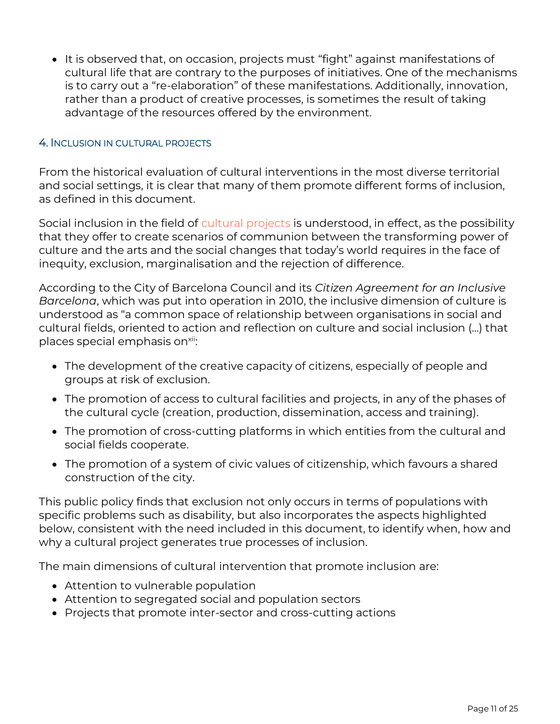• It is observed that, on occasion, projects must "fight" against manifestations of cultural life that are contrary to the purposes of initiatives. One of the mechanisms is to carry out a "re-elaboration" of these manifestations. Additionally, innovation, rather than a product of creative processes, is sometimes the result of taking advantage of the resources offered by the environment.

#### 4. INCLUSION IN CULTURAL PROJECTS

From the historical evaluation of cultural interventions in the most diverse territorial and social settings, it is clear that many of them promote different forms of inclusion, as defined in this document.

Social inclusion in the field of cultural projects is understood, in effect, as the possibility that they offer to create scenarios of communion between the transforming power of culture and the arts and the social changes that today's world requires in the face of inequity, exclusion, marginalisation and the rejection of difference.

According to the City of Barcelona Council and its *Citizen Agreement for an Inclusive Barcelona*, which was put into operation in 2010, the inclusive dimension of culture is understood as "a common space of relationship between organisations in social and cultural fields, oriented to action and reflection on culture and social inclusion (...) that places special emphasis on<sup>xii</sup>:

- The development of the creative capacity of citizens, especially of people and groups at risk of exclusion.
- The promotion of access to cultural facilities and projects, in any of the phases of the cultural cycle (creation, production, dissemination, access and training).
- The promotion of cross-cutting platforms in which entities from the cultural and social fields cooperate.
- The promotion of a system of civic values of citizenship, which favours a shared construction of the city.

This public policy finds that exclusion not only occurs in terms of populations with specific problems such as disability, but also incorporates the aspects highlighted below, consistent with the need included in this document, to identify when, how and why a cultural project generates true processes of inclusion.

The main dimensions of cultural intervention that promote inclusion are:

- Attention to vulnerable population
- Attention to segregated social and population sectors
- Projects that promote inter-sector and cross-cutting actions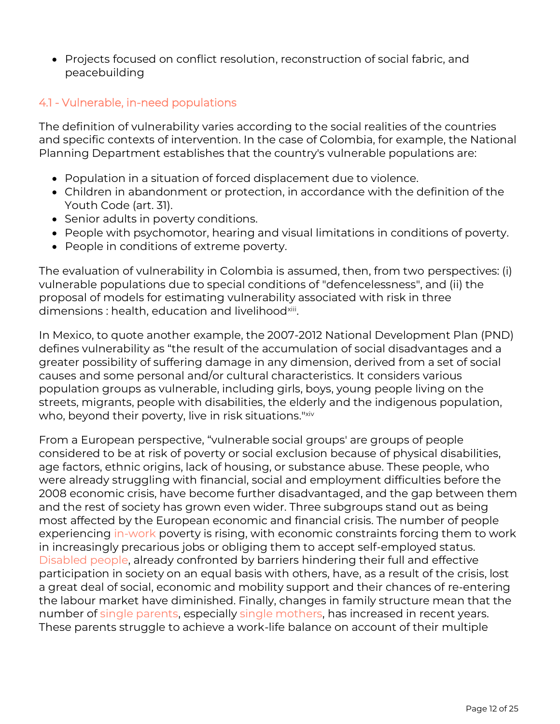• Projects focused on conflict resolution, reconstruction of social fabric, and peacebuilding

### 4.1 - Vulnerable, in-need populations

The definition of vulnerability varies according to the social realities of the countries and specific contexts of intervention. In the case of Colombia, for example, the National Planning Department establishes that the country's vulnerable populations are:

- Population in a situation of forced displacement due to violence.
- Children in abandonment or protection, in accordance with the definition of the Youth Code (art. 31).
- Senior adults in poverty conditions.
- People with psychomotor, hearing and visual limitations in conditions of poverty.
- People in conditions of extreme poverty.

The evaluation of vulnerability in Colombia is assumed, then, from two perspectives: (i) vulnerable populations due to special conditions of "defencelessness", and (ii) the proposal of models for estimating vulnerability associated with risk in three dimensions : health, education and livelihood<sup>xiii</sup>.

In Mexico, to quote another example, the 2007-2012 National Development Plan (PND) defines vulnerability as "the result of the accumulation of social disadvantages and a greater possibility of suffering damage in any dimension, derived from a set of social causes and some personal and/or cultural characteristics. It considers various population groups as vulnerable, including girls, boys, young people living on the streets, migrants, people with disabilities, the elderly and the indigenous population, who, beyond their poverty, live in risk situations." xiv

From a European perspective, "vulnerable social groups' are groups of people considered to be at risk of poverty or social exclusion because of physical disabilities, age factors, ethnic origins, lack of housing, or substance abuse. These people, who were already struggling with financial, social and employment difficulties before the 2008 economic crisis, have become further disadvantaged, and the gap between them and the rest of society has grown even wider. Three subgroups stand out as being most affected by the European economic and financial crisis. The number of people experiencing in-work poverty is rising, with economic constraints forcing them to work in increasingly precarious jobs or obliging them to accept self-employed status. Disabled people, already confronted by barriers hindering their full and effective participation in society on an equal basis with others, have, as a result of the crisis, lost a great deal of social, economic and mobility support and their chances of re-entering the labour market have diminished. Finally, changes in family structure mean that the number of single parents, especially single mothers, has increased in recent years. These parents struggle to achieve a work-life balance on account of their multiple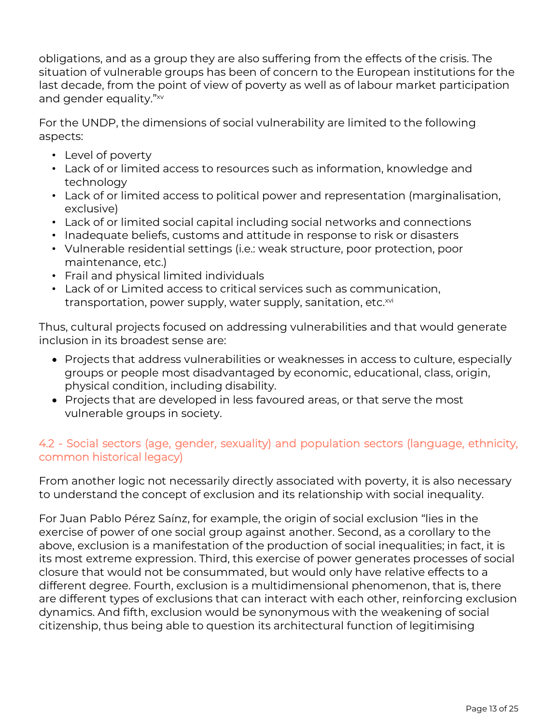obligations, and as a group they are also suffering from the effects of the crisis. The situation of vulnerable groups has been of concern to the European institutions for the last decade, from the point of view of poverty as well as of labour market participation and gender equality." xv

For the UNDP, the dimensions of social vulnerability are limited to the following aspects:

- Level of poverty
- Lack of or limited access to resources such as information, knowledge and technology
- Lack of or limited access to political power and representation (marginalisation, exclusive)
- Lack of or limited social capital including social networks and connections
- Inadequate beliefs, customs and attitude in response to risk or disasters
- Vulnerable residential settings (i.e.: weak structure, poor protection, poor maintenance, etc.)
- Frail and physical limited individuals
- Lack of or Limited access to critical services such as communication, transportation, power supply, water supply, sanitation, etc.<sup>xvi</sup>

Thus, cultural projects focused on addressing vulnerabilities and that would generate inclusion in its broadest sense are:

- Projects that address vulnerabilities or weaknesses in access to culture, especially groups or people most disadvantaged by economic, educational, class, origin, physical condition, including disability.
- Projects that are developed in less favoured areas, or that serve the most vulnerable groups in society.

# 4.2 - Social sectors (age, gender, sexuality) and population sectors (language, ethnicity, common historical legacy)

From another logic not necessarily directly associated with poverty, it is also necessary to understand the concept of exclusion and its relationship with social inequality.

For Juan Pablo Pérez Saínz, for example, the origin of social exclusion "lies in the exercise of power of one social group against another. Second, as a corollary to the above, exclusion is a manifestation of the production of social inequalities; in fact, it is its most extreme expression. Third, this exercise of power generates processes of social closure that would not be consummated, but would only have relative effects to a different degree. Fourth, exclusion is a multidimensional phenomenon, that is, there are different types of exclusions that can interact with each other, reinforcing exclusion dynamics. And fifth, exclusion would be synonymous with the weakening of social citizenship, thus being able to question its architectural function of legitimising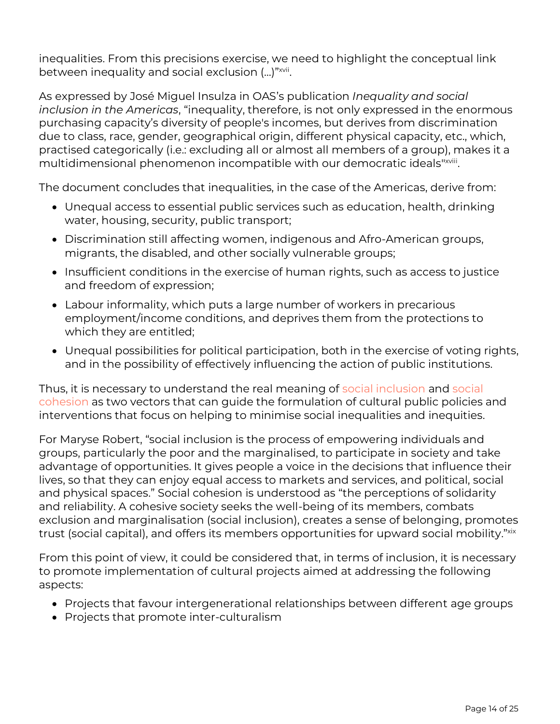inequalities. From this precisions exercise, we need to highlight the conceptual link between inequality and social exclusion (...)" $\scriptstyle\rm{200}$ 

As expressed by José Miguel Insulza in OAS's publication *Inequality and social inclusion in the Americas*, "inequality, therefore, is not only expressed in the enormous purchasing capacity's diversity of people's incomes, but derives from discrimination due to class, race, gender, geographical origin, different physical capacity, etc., which, practised categorically (i.e.: excluding all or almost all members of a group), makes it a multidimensional phenomenon incompatible with our democratic ideals"×viii.

The document concludes that inequalities, in the case of the Americas, derive from:

- Unequal access to essential public services such as education, health, drinking water, housing, security, public transport;
- Discrimination still affecting women, indigenous and Afro-American groups, migrants, the disabled, and other socially vulnerable groups;
- Insufficient conditions in the exercise of human rights, such as access to justice and freedom of expression;
- Labour informality, which puts a large number of workers in precarious employment/income conditions, and deprives them from the protections to which they are entitled;
- Unequal possibilities for political participation, both in the exercise of voting rights, and in the possibility of effectively influencing the action of public institutions.

Thus, it is necessary to understand the real meaning of social inclusion and social cohesion as two vectors that can guide the formulation of cultural public policies and interventions that focus on helping to minimise social inequalities and inequities.

For Maryse Robert, "social inclusion is the process of empowering individuals and groups, particularly the poor and the marginalised, to participate in society and take advantage of opportunities. It gives people a voice in the decisions that influence their lives, so that they can enjoy equal access to markets and services, and political, social and physical spaces." Social cohesion is understood as "the perceptions of solidarity and reliability. A cohesive society seeks the well-being of its members, combats exclusion and marginalisation (social inclusion), creates a sense of belonging, promotes trust (social capital), and offers its members opportunities for upward social mobility."×××

From this point of view, it could be considered that, in terms of inclusion, it is necessary to promote implementation of cultural projects aimed at addressing the following aspects:

- Projects that favour intergenerational relationships between different age groups
- Projects that promote inter-culturalism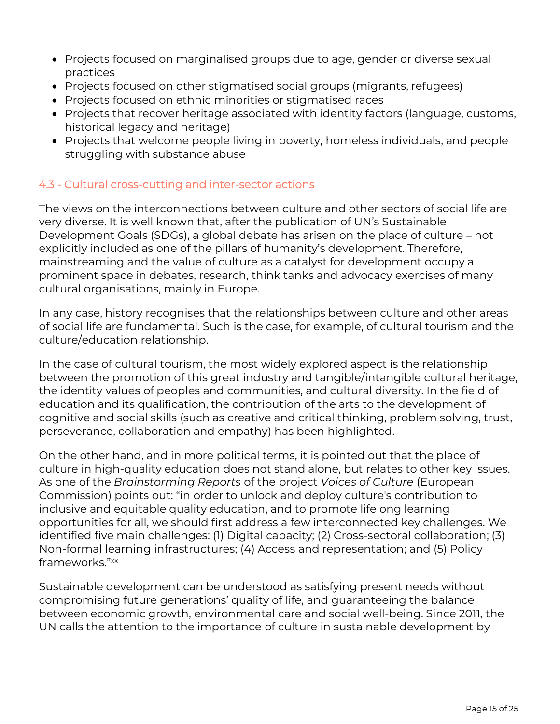- Projects focused on marginalised groups due to age, gender or diverse sexual practices
- Projects focused on other stigmatised social groups (migrants, refugees)
- Projects focused on ethnic minorities or stigmatised races
- Projects that recover heritage associated with identity factors (language, customs, historical legacy and heritage)
- Projects that welcome people living in poverty, homeless individuals, and people struggling with substance abuse

### 4.3 - Cultural cross-cutting and inter-sector actions

The views on the interconnections between culture and other sectors of social life are very diverse. It is well known that, after the publication of UN's Sustainable Development Goals (SDGs), a global debate has arisen on the place of culture – not explicitly included as one of the pillars of humanity's development. Therefore, mainstreaming and the value of culture as a catalyst for development occupy a prominent space in debates, research, think tanks and advocacy exercises of many cultural organisations, mainly in Europe.

In any case, history recognises that the relationships between culture and other areas of social life are fundamental. Such is the case, for example, of cultural tourism and the culture/education relationship.

In the case of cultural tourism, the most widely explored aspect is the relationship between the promotion of this great industry and tangible/intangible cultural heritage, the identity values of peoples and communities, and cultural diversity. In the field of education and its qualification, the contribution of the arts to the development of cognitive and social skills (such as creative and critical thinking, problem solving, trust, perseverance, collaboration and empathy) has been highlighted.

On the other hand, and in more political terms, it is pointed out that the place of culture in high-quality education does not stand alone, but relates to other key issues. As one of the *Brainstorming Reports* of the project *Voices of Culture* (European Commission) points out: "in order to unlock and deploy culture's contribution to inclusive and equitable quality education, and to promote lifelong learning opportunities for all, we should first address a few interconnected key challenges. We identified five main challenges: (1) Digital capacity; (2) Cross-sectoral collaboration; (3) Non-formal learning infrastructures; (4) Access and representation; and (5) Policy frameworks." xx

Sustainable development can be understood as satisfying present needs without compromising future generations' quality of life, and guaranteeing the balance between economic growth, environmental care and social well-being. Since 2011, the UN calls the attention to the importance of culture in sustainable development by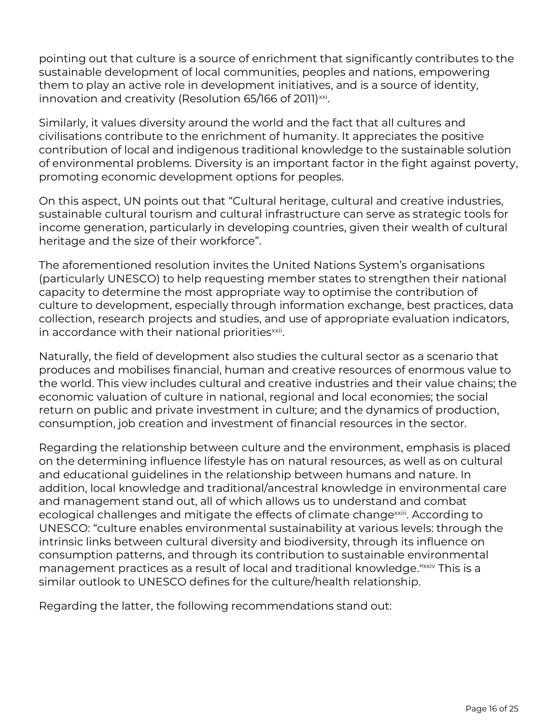pointing out that culture is a source of enrichment that significantly contributes to the sustainable development of local communities, peoples and nations, empowering them to play an active role in development initiatives, and is a source of identity, innovation and creativity (Resolution 65/166 of 2011) $^{\rm{xxi}}$ .

Similarly, it values diversity around the world and the fact that all cultures and civilisations contribute to the enrichment of humanity. It appreciates the positive contribution of local and indigenous traditional knowledge to the sustainable solution of environmental problems. Diversity is an important factor in the fight against poverty, promoting economic development options for peoples.

On this aspect, UN points out that "Cultural heritage, cultural and creative industries, sustainable cultural tourism and cultural infrastructure can serve as strategic tools for income generation, particularly in developing countries, given their wealth of cultural heritage and the size of their workforce".

The aforementioned resolution invites the United Nations System's organisations (particularly UNESCO) to help requesting member states to strengthen their national capacity to determine the most appropriate way to optimise the contribution of culture to development, especially through information exchange, best practices, data collection, research projects and studies, and use of appropriate evaluation indicators, in accordance with their national priorities $^{\rm{axii}}$ .

Naturally, the field of development also studies the cultural sector as a scenario that produces and mobilises financial, human and creative resources of enormous value to the world. This view includes cultural and creative industries and their value chains; the economic valuation of culture in national, regional and local economies; the social return on public and private investment in culture; and the dynamics of production, consumption, job creation and investment of financial resources in the sector.

Regarding the relationship between culture and the environment, emphasis is placed on the determining influence lifestyle has on natural resources, as well as on cultural and educational guidelines in the relationship between humans and nature. In addition, local knowledge and traditional/ancestral knowledge in environmental care and management stand out, all of which allows us to understand and combat ecological challenges and mitigate the effects of climate change<sup>xxiii</sup>. According to UNESCO: "culture enables environmental sustainability at various levels: through the intrinsic links between cultural diversity and biodiversity, through its influence on consumption patterns, and through its contribution to sustainable environmental management practices as a result of local and traditional knowledge." xxiv This is a similar outlook to UNESCO defines for the culture/health relationship.

Regarding the latter, the following recommendations stand out: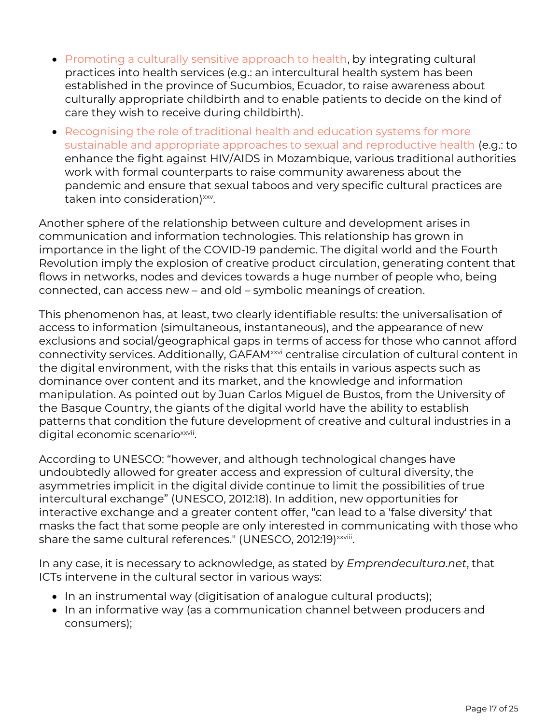- Promoting a culturally sensitive approach to health, by integrating cultural practices into health services (e.g.: an intercultural health system has been established in the province of Sucumbios, Ecuador, to raise awareness about culturally appropriate childbirth and to enable patients to decide on the kind of care they wish to receive during childbirth).
- Recognising the role of traditional health and education systems for more sustainable and appropriate approaches to sexual and reproductive health (e.g.: to enhance the fight against HIV/AIDS in Mozambique, various traditional authorities work with formal counterparts to raise community awareness about the pandemic and ensure that sexual taboos and very specific cultural practices are taken into consideration)<sup>xxv</sup>.

Another sphere of the relationship between culture and development arises in communication and information technologies. This relationship has grown in importance in the light of the COVID-19 pandemic. The digital world and the Fourth Revolution imply the explosion of creative product circulation, generating content that flows in networks, nodes and devices towards a huge number of people who, being connected, can access new – and old – symbolic meanings of creation.

This phenomenon has, at least, two clearly identifiable results: the universalisation of access to information (simultaneous, instantaneous), and the appearance of new exclusions and social/geographical gaps in terms of access for those who cannot afford connectivity services. Additionally, GAFAM<sup>xxvi</sup> centralise circulation of cultural content in the digital environment, with the risks that this entails in various aspects such as dominance over content and its market, and the knowledge and information manipulation. As pointed out by Juan Carlos Miguel de Bustos, from the University of the Basque Country, the giants of the digital world have the ability to establish patterns that condition the future development of creative and cultural industries in a digital economic scenario<sup>xxvii</sup>.

According to UNESCO: "however, and although technological changes have undoubtedly allowed for greater access and expression of cultural diversity, the asymmetries implicit in the digital divide continue to limit the possibilities of true intercultural exchange" (UNESCO, 2012:18). In addition, new opportunities for interactive exchange and a greater content offer, "can lead to a 'false diversity' that masks the fact that some people are only interested in communicating with those who share the same cultural references." (UNESCO, 2012:19)¤××iii.

In any case, it is necessary to acknowledge, as stated by *Emprendecultura.net*, that ICTs intervene in the cultural sector in various ways:

- In an instrumental way (digitisation of analogue cultural products);
- In an informative way (as a communication channel between producers and consumers);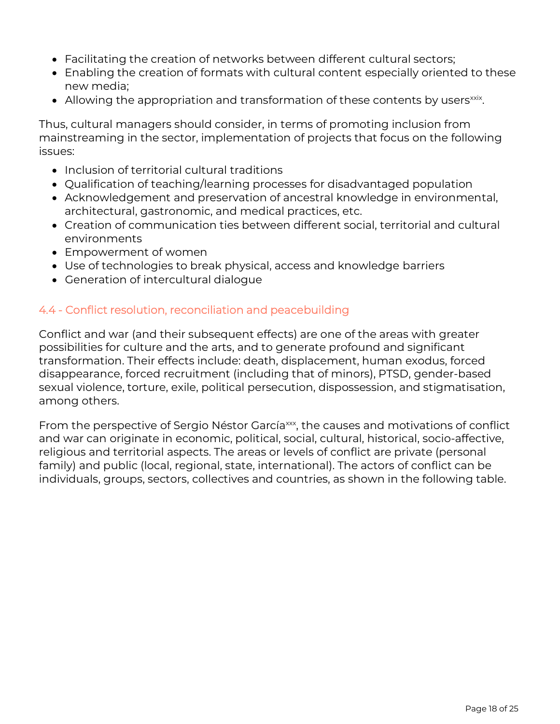- Facilitating the creation of networks between different cultural sectors;
- Enabling the creation of formats with cultural content especially oriented to these new media;
- $\bullet$  Allowing the appropriation and transformation of these contents by users $\text{\tiny xxi}$ .

Thus, cultural managers should consider, in terms of promoting inclusion from mainstreaming in the sector, implementation of projects that focus on the following issues:

- Inclusion of territorial cultural traditions
- Qualification of teaching/learning processes for disadvantaged population
- Acknowledgement and preservation of ancestral knowledge in environmental, architectural, gastronomic, and medical practices, etc.
- Creation of communication ties between different social, territorial and cultural environments
- Empowerment of women
- Use of technologies to break physical, access and knowledge barriers
- Generation of intercultural dialogue

## 4.4 - Conflict resolution, reconciliation and peacebuilding

Conflict and war (and their subsequent effects) are one of the areas with greater possibilities for culture and the arts, and to generate profound and significant transformation. Their effects include: death, displacement, human exodus, forced disappearance, forced recruitment (including that of minors), PTSD, gender-based sexual violence, torture, exile, political persecution, dispossession, and stigmatisation, among others.

From the perspective of Sergio Néstor García<sup>xxx</sup>, the causes and motivations of conflict and war can originate in economic, political, social, cultural, historical, socio-affective, religious and territorial aspects. The areas or levels of conflict are private (personal family) and public (local, regional, state, international). The actors of conflict can be individuals, groups, sectors, collectives and countries, as shown in the following table.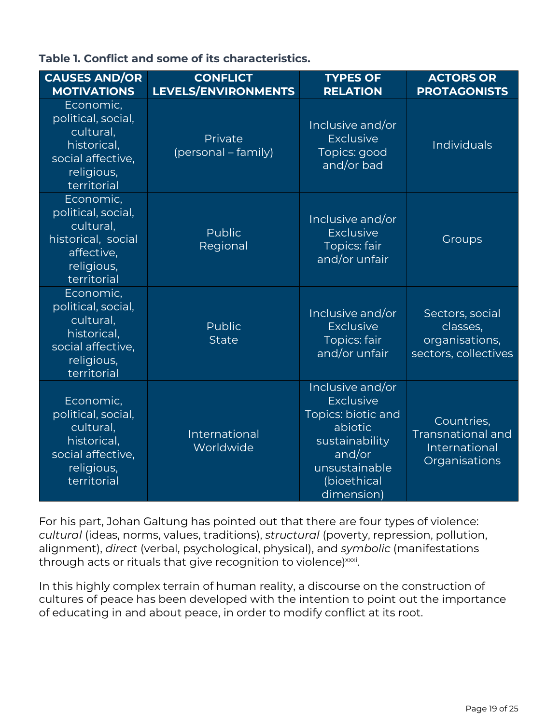|  |  |  |  |  | Table 1. Conflict and some of its characteristics. |
|--|--|--|--|--|----------------------------------------------------|
|--|--|--|--|--|----------------------------------------------------|

| <b>CAUSES AND/OR</b><br><b>MOTIVATIONS</b>                                                                    | <b>CONFLICT</b><br><b>LEVELS/ENVIRONMENTS</b> | <b>TYPES OF</b><br><b>RELATION</b>                                                                                                              | <b>ACTORS OR</b><br><b>PROTAGONISTS</b>                                  |
|---------------------------------------------------------------------------------------------------------------|-----------------------------------------------|-------------------------------------------------------------------------------------------------------------------------------------------------|--------------------------------------------------------------------------|
| Economic,<br>political, social,<br>cultural,<br>historical,<br>social affective,<br>religious,<br>territorial | Private<br>(personal - family)                | Inclusive and/or<br><b>Exclusive</b><br>Topics: good<br>and/or bad                                                                              | Individuals                                                              |
| Economic,<br>political, social,<br>cultural,<br>historical, social<br>affective,<br>religious,<br>territorial | <b>Public</b><br>Regional                     | Inclusive and/or<br><b>Exclusive</b><br><b>Topics: fair</b><br>and/or unfair                                                                    | Groups                                                                   |
| Economic,<br>political, social,<br>cultural,<br>historical,<br>social affective,<br>religious,<br>territorial | Public<br><b>State</b>                        | Inclusive and/or<br><b>Exclusive</b><br><b>Topics: fair</b><br>and/or unfair                                                                    | Sectors, social<br>classes,<br>organisations,<br>sectors, collectives    |
| Economic,<br>political, social,<br>cultural,<br>historical,<br>social affective,<br>religious,<br>territorial | International<br>Worldwide                    | Inclusive and/or<br><b>Exclusive</b><br>Topics: biotic and<br>abiotic<br>sustainability<br>and/or<br>unsustainable<br>(bioethical<br>dimension) | Countries,<br><b>Transnational and</b><br>International<br>Organisations |

For his part, Johan Galtung has pointed out that there are four types of violence: *cultural* (ideas, norms, values, traditions), *structural* (poverty, repression, pollution, alignment), *direct* (verbal, psychological, physical), and *symbolic* (manifestations through acts or rituals that give recognition to violence)<sup>xxxi</sup>.

In this highly complex terrain of human reality, a discourse on the construction of cultures of peace has been developed with the intention to point out the importance of educating in and about peace, in order to modify conflict at its root.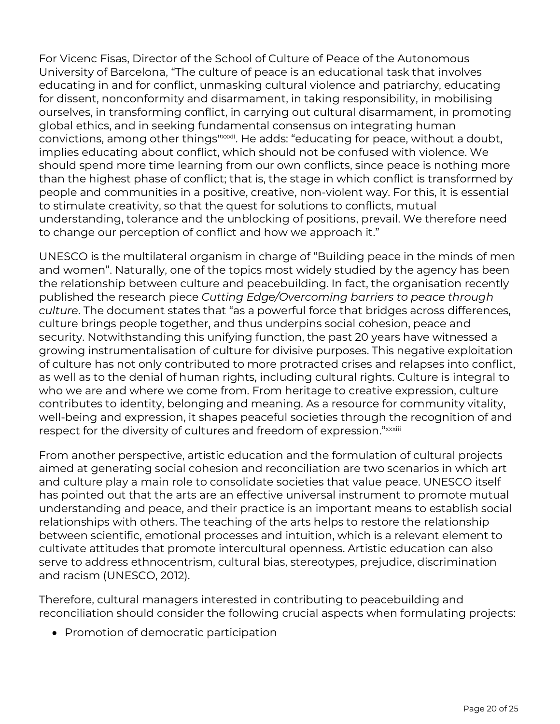For Vicenc Fisas, Director of the School of Culture of Peace of the Autonomous University of Barcelona, "The culture of peace is an educational task that involves educating in and for conflict, unmasking cultural violence and patriarchy, educating for dissent, nonconformity and disarmament, in taking responsibility, in mobilising ourselves, in transforming conflict, in carrying out cultural disarmament, in promoting global ethics, and in seeking fundamental consensus on integrating human convictions, among other things"xxxii. He adds: "educating for peace, without a doubt, implies educating about conflict, which should not be confused with violence. We should spend more time learning from our own conflicts, since peace is nothing more than the highest phase of conflict; that is, the stage in which conflict is transformed by people and communities in a positive, creative, non-violent way. For this, it is essential to stimulate creativity, so that the quest for solutions to conflicts, mutual understanding, tolerance and the unblocking of positions, prevail. We therefore need to change our perception of conflict and how we approach it."

UNESCO is the multilateral organism in charge of "Building peace in the minds of men and women". Naturally, one of the topics most widely studied by the agency has been the relationship between culture and peacebuilding. In fact, the organisation recently published the research piece *Cutting Edge/Overcoming barriers to peace through culture*. The document states that "as a powerful force that bridges across differences, culture brings people together, and thus underpins social cohesion, peace and security. Notwithstanding this unifying function, the past 20 years have witnessed a growing instrumentalisation of culture for divisive purposes. This negative exploitation of culture has not only contributed to more protracted crises and relapses into conflict, as well as to the denial of human rights, including cultural rights. Culture is integral to who we are and where we come from. From heritage to creative expression, culture contributes to identity, belonging and meaning. As a resource for community vitality, well-being and expression, it shapes peaceful societies through the recognition of and respect for the diversity of cultures and freedom of expression." xxxiii

From another perspective, artistic education and the formulation of cultural projects aimed at generating social cohesion and reconciliation are two scenarios in which art and culture play a main role to consolidate societies that value peace. UNESCO itself has pointed out that the arts are an effective universal instrument to promote mutual understanding and peace, and their practice is an important means to establish social relationships with others. The teaching of the arts helps to restore the relationship between scientific, emotional processes and intuition, which is a relevant element to cultivate attitudes that promote intercultural openness. Artistic education can also serve to address ethnocentrism, cultural bias, stereotypes, prejudice, discrimination and racism (UNESCO, 2012).

Therefore, cultural managers interested in contributing to peacebuilding and reconciliation should consider the following crucial aspects when formulating projects:

• Promotion of democratic participation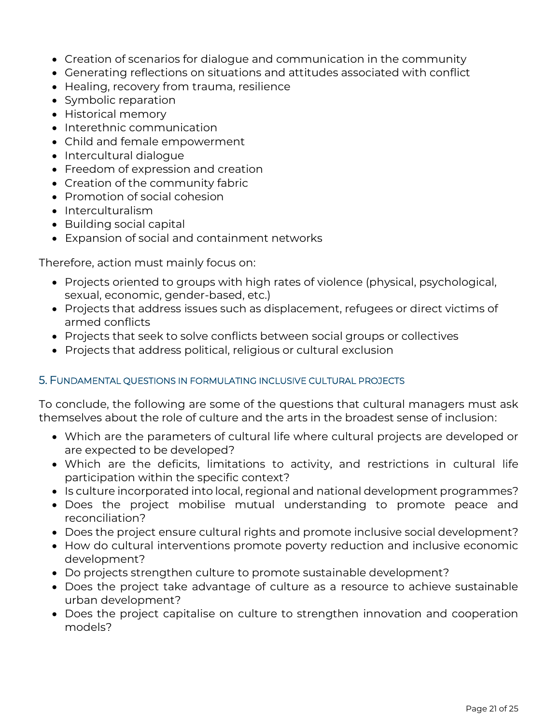- Creation of scenarios for dialogue and communication in the community
- Generating reflections on situations and attitudes associated with conflict
- Healing, recovery from trauma, resilience
- Symbolic reparation
- Historical memory
- Interethnic communication
- Child and female empowerment
- Intercultural dialogue
- Freedom of expression and creation
- Creation of the community fabric
- Promotion of social cohesion
- Interculturalism
- Building social capital
- Expansion of social and containment networks

Therefore, action must mainly focus on:

- Projects oriented to groups with high rates of violence (physical, psychological, sexual, economic, gender-based, etc.)
- Projects that address issues such as displacement, refugees or direct victims of armed conflicts
- Projects that seek to solve conflicts between social groups or collectives
- Projects that address political, religious or cultural exclusion

### 5. FUNDAMENTAL QUESTIONS IN FORMULATING INCLUSIVE CULTURAL PROJECTS

To conclude, the following are some of the questions that cultural managers must ask themselves about the role of culture and the arts in the broadest sense of inclusion:

- Which are the parameters of cultural life where cultural projects are developed or are expected to be developed?
- Which are the deficits, limitations to activity, and restrictions in cultural life participation within the specific context?
- Is culture incorporated into local, regional and national development programmes?
- Does the project mobilise mutual understanding to promote peace and reconciliation?
- Does the project ensure cultural rights and promote inclusive social development?
- How do cultural interventions promote poverty reduction and inclusive economic development?
- Do projects strengthen culture to promote sustainable development?
- Does the project take advantage of culture as a resource to achieve sustainable urban development?
- Does the project capitalise on culture to strengthen innovation and cooperation models?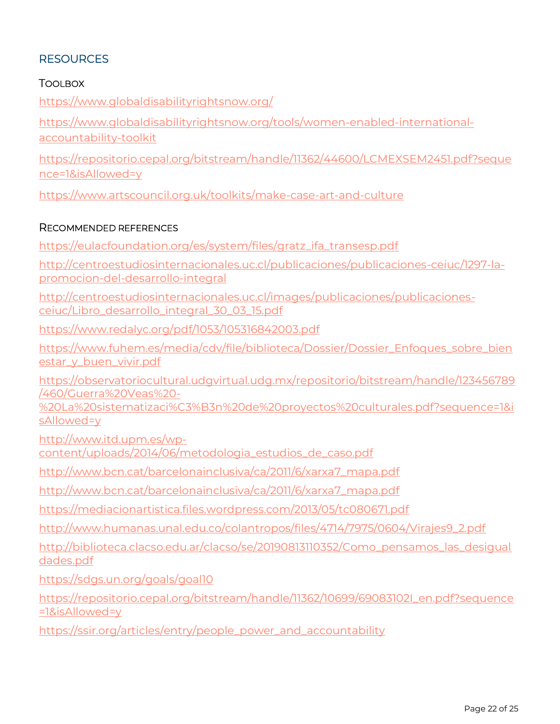# **RESOURCES**

### TOOLBOX

<https://www.globaldisabilityrightsnow.org/>

[https://www.globaldisabilityrightsnow.org/tools/women-enabled-international](https://www.globaldisabilityrightsnow.org/tools/women-enabled-international-accountability-toolkit)[accountability-toolkit](https://www.globaldisabilityrightsnow.org/tools/women-enabled-international-accountability-toolkit)

[https://repositorio.cepal.org/bitstream/handle/11362/44600/LCMEXSEM2451.pdf?seque](https://repositorio.cepal.org/bitstream/handle/11362/44600/LCMEXSEM2451.pdf?sequence=1&isAllowed=y) [nce=1&isAllowed=y](https://repositorio.cepal.org/bitstream/handle/11362/44600/LCMEXSEM2451.pdf?sequence=1&isAllowed=y)

<https://www.artscouncil.org.uk/toolkits/make-case-art-and-culture>

#### RECOMMENDED REFERENCES

[https://eulacfoundation.org/es/system/files/gratz\\_ifa\\_transesp.pdf](https://eulacfoundation.org/es/system/files/gratz_ifa_transesp.pdf)

[http://centroestudiosinternacionales.uc.cl/publicaciones/publicaciones-ceiuc/1297-la](http://centroestudiosinternacionales.uc.cl/publicaciones/publicaciones-ceiuc/1297-la-promocion-del-desarrollo-integral)[promocion-del-desarrollo-integral](http://centroestudiosinternacionales.uc.cl/publicaciones/publicaciones-ceiuc/1297-la-promocion-del-desarrollo-integral)

[http://centroestudiosinternacionales.uc.cl/images/publicaciones/publicaciones](http://centroestudiosinternacionales.uc.cl/images/publicaciones/publicaciones-ceiuc/Libro_desarrollo_integral_30_03_15.pdf)[ceiuc/Libro\\_desarrollo\\_integral\\_30\\_03\\_15.pdf](http://centroestudiosinternacionales.uc.cl/images/publicaciones/publicaciones-ceiuc/Libro_desarrollo_integral_30_03_15.pdf)

<https://www.redalyc.org/pdf/1053/105316842003.pdf>

[https://www.fuhem.es/media/cdv/file/biblioteca/Dossier/Dossier\\_Enfoques\\_sobre\\_bien](https://www.fuhem.es/media/cdv/file/biblioteca/Dossier/Dossier_Enfoques_sobre_bienestar_y_buen_vivir.pdf) [estar\\_y\\_buen\\_vivir.pdf](https://www.fuhem.es/media/cdv/file/biblioteca/Dossier/Dossier_Enfoques_sobre_bienestar_y_buen_vivir.pdf)

[https://observatoriocultural.udgvirtual.udg.mx/repositorio/bitstream/handle/123456789](https://observatoriocultural.udgvirtual.udg.mx/repositorio/bitstream/handle/123456789/460/Guerra%20Veas%20-%20La%20sistematizaci%C3%B3n%20de%20proyectos%20culturales.pdf?sequence=1&isAllowed=y) [/460/Guerra%20Veas%20-](https://observatoriocultural.udgvirtual.udg.mx/repositorio/bitstream/handle/123456789/460/Guerra%20Veas%20-%20La%20sistematizaci%C3%B3n%20de%20proyectos%20culturales.pdf?sequence=1&isAllowed=y)

[%20La%20sistematizaci%C3%B3n%20de%20proyectos%20culturales.pdf?sequence=1&i](https://observatoriocultural.udgvirtual.udg.mx/repositorio/bitstream/handle/123456789/460/Guerra%20Veas%20-%20La%20sistematizaci%C3%B3n%20de%20proyectos%20culturales.pdf?sequence=1&isAllowed=y) [sAllowed=y](https://observatoriocultural.udgvirtual.udg.mx/repositorio/bitstream/handle/123456789/460/Guerra%20Veas%20-%20La%20sistematizaci%C3%B3n%20de%20proyectos%20culturales.pdf?sequence=1&isAllowed=y)

[http://www.itd.upm.es/wp](http://www.itd.upm.es/wp-content/uploads/2014/06/metodologia_estudios_de_caso.pdf)[content/uploads/2014/06/metodologia\\_estudios\\_de\\_caso.pdf](http://www.itd.upm.es/wp-content/uploads/2014/06/metodologia_estudios_de_caso.pdf)

[http://www.bcn.cat/barcelonainclusiva/ca/2011/6/xarxa7\\_mapa.pdf](http://www.bcn.cat/barcelonainclusiva/ca/2011/6/xarxa7_mapa.pdf)

[http://www.bcn.cat/barcelonainclusiva/ca/2011/6/xarxa7\\_mapa.pdf](http://www.bcn.cat/barcelonainclusiva/ca/2011/6/xarxa7_mapa.pdf)

<https://mediacionartistica.files.wordpress.com/2013/05/tc080671.pdf>

[http://www.humanas.unal.edu.co/colantropos/files/4714/7975/0604/Virajes9\\_2.pdf](http://www.humanas.unal.edu.co/colantropos/files/4714/7975/0604/Virajes9_2.pdf)

[http://biblioteca.clacso.edu.ar/clacso/se/20190813110352/Como\\_pensamos\\_las\\_desigual](http://biblioteca.clacso.edu.ar/clacso/se/20190813110352/Como_pensamos_las_desigualdades.pdf) [dades.pdf](http://biblioteca.clacso.edu.ar/clacso/se/20190813110352/Como_pensamos_las_desigualdades.pdf)

<https://sdgs.un.org/goals/goal10>

[https://repositorio.cepal.org/bitstream/handle/11362/10699/69083102I\\_en.pdf?sequence](https://repositorio.cepal.org/bitstream/handle/11362/10699/69083102I_en.pdf?sequence=1&isAllowed=y) [=1&isAllowed=y](https://repositorio.cepal.org/bitstream/handle/11362/10699/69083102I_en.pdf?sequence=1&isAllowed=y)

[https://ssir.org/articles/entry/people\\_power\\_and\\_accountability](https://ssir.org/articles/entry/people_power_and_accountability)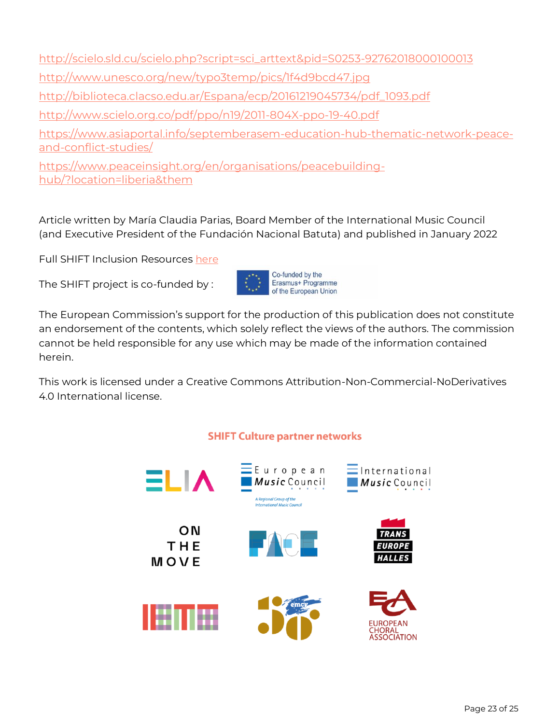[http://scielo.sld.cu/scielo.php?script=sci\\_arttext&pid=S0253-92762018000100013](http://scielo.sld.cu/scielo.php?script=sci_arttext&pid=S0253-92762018000100013) <http://www.unesco.org/new/typo3temp/pics/1f4d9bcd47.jpg> [http://biblioteca.clacso.edu.ar/Espana/ecp/20161219045734/pdf\\_1093.pdf](http://biblioteca.clacso.edu.ar/Espana/ecp/20161219045734/pdf_1093.pdf) <http://www.scielo.org.co/pdf/ppo/n19/2011-804X-ppo-19-40.pdf> [https://www.asiaportal.info/septemberasem-education-hub-thematic-network-peace](https://www.asiaportal.info/septemberasem-education-hub-thematic-network-peace-and-conflict-studies/)[and-conflict-studies/](https://www.asiaportal.info/septemberasem-education-hub-thematic-network-peace-and-conflict-studies/) [https://www.peaceinsight.org/en/organisations/peacebuilding-](https://www.peaceinsight.org/en/organisations/peacebuilding-hub/?location=liberia&them)

[hub/?location=liberia&them](https://www.peaceinsight.org/en/organisations/peacebuilding-hub/?location=liberia&them)

Article written by María Claudia Parias, Board Member of the International Music Council (and Executive President of the Fundación Nacional Batuta) and published in January 2022

Full SHIFT Inclusion Resources [here](https://shift-culture.eu/inclusion-accessibility-cultural-organisation/)

The SHIFT project is co-funded by :



The European Commission's support for the production of this publication does not constitute an endorsement of the contents, which solely reflect the views of the authors. The commission cannot be held responsible for any use which may be made of the information contained herein.

This work is licensed under a Creative Commons Attribution-Non-Commercial-NoDerivatives 4.0 International license.

### **SHIFT Culture partner networks**

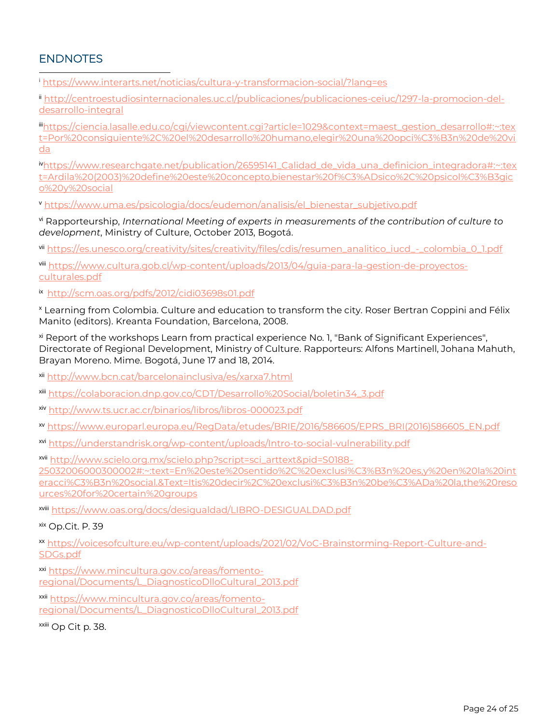# ENDNOTES

<sup>i</sup> <https://www.interarts.net/noticias/cultura-y-transformacion-social/?lang=es>

ii [http://centroestudiosinternacionales.uc.cl/publicaciones/publicaciones-ceiuc/1297-la-promocion-del](http://centroestudiosinternacionales.uc.cl/publicaciones/publicaciones-ceiuc/1297-la-promocion-del-desarrollo-integral)[desarrollo-integral](http://centroestudiosinternacionales.uc.cl/publicaciones/publicaciones-ceiuc/1297-la-promocion-del-desarrollo-integral)

iii[https://ciencia.lasalle.edu.co/cgi/viewcontent.cgi?article=1029&context=maest\\_gestion\\_desarrollo#:~:tex](https://ciencia.lasalle.edu.co/cgi/viewcontent.cgi?article=1029&context=maest_gestion_desarrollo#:~:text=Por%20consiguiente%2C%20el%20desarrollo%20humano,elegir%20una%20opci%C3%B3n%20de%20vida) [t=Por%20consiguiente%2C%20el%20desarrollo%20humano,elegir%20una%20opci%C3%B3n%20de%20vi](https://ciencia.lasalle.edu.co/cgi/viewcontent.cgi?article=1029&context=maest_gestion_desarrollo#:~:text=Por%20consiguiente%2C%20el%20desarrollo%20humano,elegir%20una%20opci%C3%B3n%20de%20vida) [da](https://ciencia.lasalle.edu.co/cgi/viewcontent.cgi?article=1029&context=maest_gestion_desarrollo#:~:text=Por%20consiguiente%2C%20el%20desarrollo%20humano,elegir%20una%20opci%C3%B3n%20de%20vida)

iv[https://www.researchgate.net/publication/26595141\\_Calidad\\_de\\_vida\\_una\\_definicion\\_integradora#:~:tex](https://www.researchgate.net/publication/26595141_Calidad_de_vida_una_definicion_integradora#:~:text=Ardila%20(2003)%20define%20este%20concepto,bienestar%20f%C3%ADsico%2C%20psicol%C3%B3gico%20y%20social) [t=Ardila%20\(2003\)%20define%20este%20concepto,bienestar%20f%C3%ADsico%2C%20psicol%C3%B3gic](https://www.researchgate.net/publication/26595141_Calidad_de_vida_una_definicion_integradora#:~:text=Ardila%20(2003)%20define%20este%20concepto,bienestar%20f%C3%ADsico%2C%20psicol%C3%B3gico%20y%20social) [o%20y%20social](https://www.researchgate.net/publication/26595141_Calidad_de_vida_una_definicion_integradora#:~:text=Ardila%20(2003)%20define%20este%20concepto,bienestar%20f%C3%ADsico%2C%20psicol%C3%B3gico%20y%20social)

<sup>v</sup> [https://www.uma.es/psicologia/docs/eudemon/analisis/el\\_bienestar\\_subjetivo.pdf](https://www.uma.es/psicologia/docs/eudemon/analisis/el_bienestar_subjetivo.pdf)

vi Rapporteurship, *International Meeting of experts in measurements of the contribution of culture to development*, Ministry of Culture, October 2013, Bogotá.

vii [https://es.unesco.org/creativity/sites/creativity/files/cdis/resumen\\_analitico\\_iucd\\_-\\_colombia\\_0\\_1.pdf](https://es.unesco.org/creativity/sites/creativity/files/cdis/resumen_analitico_iucd_-_colombia_0_1.pdf)

viii [https://www.cultura.gob.cl/wp-content/uploads/2013/04/guia-para-la-gestion-de-proyectos](https://www.cultura.gob.cl/wp-content/uploads/2013/04/guia-para-la-gestion-de-proyectos-culturales.pdf)[culturales.pdf](https://www.cultura.gob.cl/wp-content/uploads/2013/04/guia-para-la-gestion-de-proyectos-culturales.pdf)

ix <http://scm.oas.org/pdfs/2012/cidi03698s01.pdf>

<sup>x</sup> Learning from Colombia. Culture and education to transform the city. Roser Bertran Coppini and Félix Manito (editors). Kreanta Foundation, Barcelona, 2008.

xi Report of the workshops Learn from practical experience No. 1, "Bank of Significant Experiences", Directorate of Regional Development, Ministry of Culture. Rapporteurs: Alfons Martinell, Johana Mahuth, Brayan Moreno. Mime. Bogotá, June 17 and 18, 2014.

xii <http://www.bcn.cat/barcelonainclusiva/es/xarxa7.html>

xiii [https://colaboracion.dnp.gov.co/CDT/Desarrollo%20Social/boletin34\\_3.pdf](https://colaboracion.dnp.gov.co/CDT/Desarrollo%20Social/boletin34_3.pdf)

xiv <http://www.ts.ucr.ac.cr/binarios/libros/libros-000023.pdf>

xv [https://www.europarl.europa.eu/RegData/etudes/BRIE/2016/586605/EPRS\\_BRI\(2016\)586605\\_EN.pdf](https://www.europarl.europa.eu/RegData/etudes/BRIE/2016/586605/EPRS_BRI(2016)586605_EN.pdf)

xvi <https://understandrisk.org/wp-content/uploads/Intro-to-social-vulnerability.pdf>

xvii [http://www.scielo.org.mx/scielo.php?script=sci\\_arttext&pid=S0188-](http://www.scielo.org.mx/scielo.php?script=sci_arttext&pid=S0188-25032006000300002#:~:text=En%20este%20sentido%2C%20exclusi%C3%B3n%20es,y%20en%20la%20interacci%C3%B3n%20social.&Text=Itis%20decir%2C%20exclusi%C3%B3n%20be%C3%ADa%20la,the%20resources%20for%20certain%20groups) [25032006000300002#:~:text=En%20este%20sentido%2C%20exclusi%C3%B3n%20es,y%20en%20la%20int](http://www.scielo.org.mx/scielo.php?script=sci_arttext&pid=S0188-25032006000300002#:~:text=En%20este%20sentido%2C%20exclusi%C3%B3n%20es,y%20en%20la%20interacci%C3%B3n%20social.&Text=Itis%20decir%2C%20exclusi%C3%B3n%20be%C3%ADa%20la,the%20resources%20for%20certain%20groups) [eracci%C3%B3n%20social.&Text=Itis%20decir%2C%20exclusi%C3%B3n%20be%C3%ADa%20la,the%20reso](http://www.scielo.org.mx/scielo.php?script=sci_arttext&pid=S0188-25032006000300002#:~:text=En%20este%20sentido%2C%20exclusi%C3%B3n%20es,y%20en%20la%20interacci%C3%B3n%20social.&Text=Itis%20decir%2C%20exclusi%C3%B3n%20be%C3%ADa%20la,the%20resources%20for%20certain%20groups) [urces%20for%20certain%20groups](http://www.scielo.org.mx/scielo.php?script=sci_arttext&pid=S0188-25032006000300002#:~:text=En%20este%20sentido%2C%20exclusi%C3%B3n%20es,y%20en%20la%20interacci%C3%B3n%20social.&Text=Itis%20decir%2C%20exclusi%C3%B3n%20be%C3%ADa%20la,the%20resources%20for%20certain%20groups)

xviii <https://www.oas.org/docs/desigualdad/LIBRO-DESIGUALDAD.pdf>

xix Op.Cit. P. 39

xx [https://voicesofculture.eu/wp-content/uploads/2021/02/VoC-Brainstorming-Report-Culture-and-](https://voicesofculture.eu/wp-content/uploads/2021/02/VoC-Brainstorming-Report-Culture-and-SDGs.pdf)[SDGs.pdf](https://voicesofculture.eu/wp-content/uploads/2021/02/VoC-Brainstorming-Report-Culture-and-SDGs.pdf)

xxi [https://www.mincultura.gov.co/areas/fomento](https://www.mincultura.gov.co/areas/fomento-regional/Documents/L_DiagnosticoDlloCultural_2013.pdf)[regional/Documents/L\\_DiagnosticoDlloCultural\\_2013.pdf](https://www.mincultura.gov.co/areas/fomento-regional/Documents/L_DiagnosticoDlloCultural_2013.pdf)

xxii [https://www.mincultura.gov.co/areas/fomento](https://www.mincultura.gov.co/areas/fomento-regional/Documents/L_DiagnosticoDlloCultural_2013.pdf)[regional/Documents/L\\_DiagnosticoDlloCultural\\_2013.pdf](https://www.mincultura.gov.co/areas/fomento-regional/Documents/L_DiagnosticoDlloCultural_2013.pdf)

xxiii Op Cit p. 38.